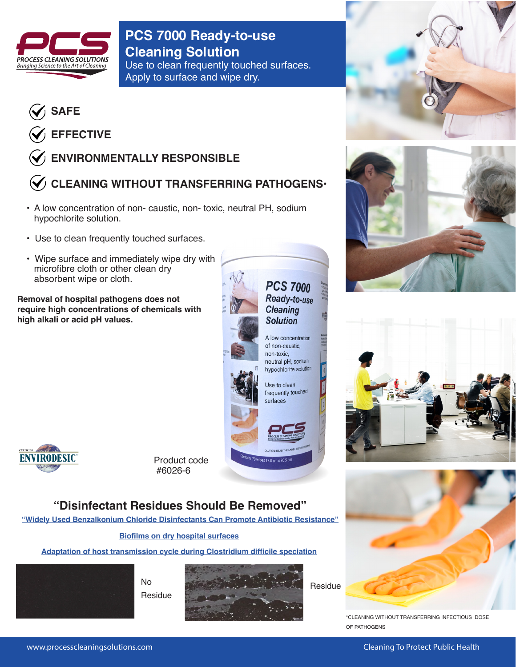

**PCS 7000 Ready-to-use Cleaning Solution** Use to clean frequently touched surfaces.

Apply to surface and wipe dry.



**EFFECTIVE**

## **ENVIRONMENTALLY RESPONSIBLE**

# **CLEANING WITHOUT TRANSFERRING PATHOGENS•**

- A low concentration of non- caustic, non- toxic, neutral PH, sodium hypochlorite solution.
- Use to clean frequently touched surfaces.
- Wipe surface and immediately wipe dry with microfibre cloth or other clean dry absorbent wipe or cloth.

**Removal of hospital pathogens does not require high concentrations of chemicals with high alkali or acid pH values.**







Product code #6026-6

## **"Disinfectant Residues Should Be Removed"**

**["Widely Used Benzalkonium Chloride Disinfectants Can Promote Antibiotic Resistance"](http://processcleaningsolutions.com/pdf/Quat-disinfectants-antibiotic-resistance.pdf)**

## **[Biofilms on dry hospital surfaces](http://processcleaningsolutions.com/pdf/Biofilms-Hospital-Surfaces.pdf)**

**[Adaptation of host transmission cycle during Clostridium difficile speciation](http://processcleaningsolutions.com/pdf/Kumar_et_al-2019-Nature_Genetics.pdf)**



No Residue



Residue



\*CLEANING WITHOUT TRANSFERRING INFECTIOUS DOSE OF PATHOGENS

www.processcleaningsolutions.com **Cleaning To Protect Public Health**